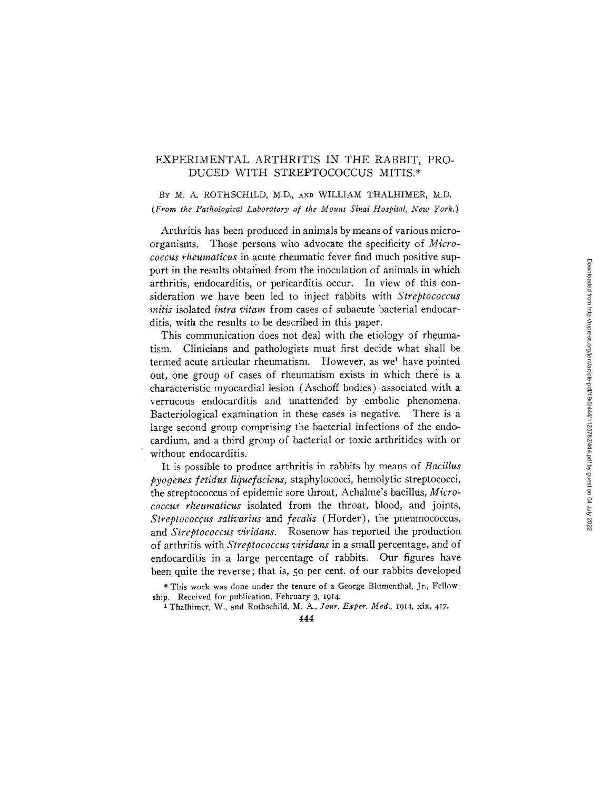# EXPERIMENTAL ARTHRITIS IN THE RABBIT, PRO-DUCED WITH STREPTOCOCCUS MITIS.\*

# BY M. A. ROTHSCHILD, M.D., AND WILLIAM THALHIMER, M.D. *(From the Pathological Laboratory of the Mount Sinai Hospital, New York.)*

Arthritis has been produced in animals by means of various microorganisms. Those persons who advocate the specificity of *Micrococcus rheumaticus* in acute rheumatic fever find much positive support in the results obtained from the inoculation of animals in which arthritis, endocarditis, or pericarditis occur. In view of this consideration we have been led to inject rabbits with *Streptococcus mitis* isolated *intra vitam* from cases of subacute bacterial endocarditis, with the results to be described in this paper.

This communication does not deal with the etiology of rheumatism. Clinicians and pathologists must first decide what shall be termed acute articular rheumatism. However, as we<sup>1</sup> have pointed out, one group of cases of rheumatism exists in which there is a characteristic myocardial lesion (Aschoff bodies) associated with a verrucous endocarditis and unattended by embolic phenomena. Bacteriological examination in these cases is negative. There is a large second group comprising the bacterial infections of the endocardium, and a third group of bacterial or toxic arthritides with or without endocarditis.

It is possible to produce arthritis in rabbits by means of *Bacillus pyogenes fetidus liquefaciens,* staphylococci, hemolytic streptococci, the streptococcus of epidemic sore throat, Achalme's bacillus, *Micrococcus rheumaticus* isolated from the throat, blood, and joints, *Streptococcus salivarius* and *fecalis* (Horder), the pneumococcus, and *Streptococcus viridans.* Rosenow has reported the production of arthritis with *Streptococcus viridans* in a small percentage, and of endocarditis in a large percentage of rabbits. Our figures have been quite the reverse; that is, 50 per cent. of our rabbits developed

\* This work was done under the tenure of a George Blumenthal, Jr., Fellowship. Received for publication, February 3, I914.

1 Thalhimer, W., and Rothschild, M. A., *Jour. Exper. Med.,* I914, xix, 4:7.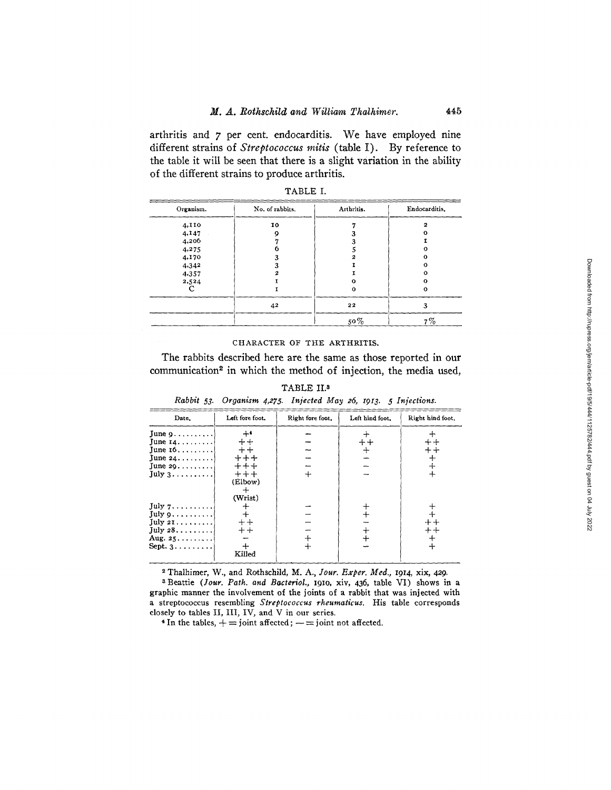arthritis and 7 per cent. endocarditis. We have employed nine different strains of *Streptococcus mitis* (table I). By reference to the table it will be seen that there is a slight variation in the ability of the different strains to produce arthritis.

| Organism. | No. of rabbits. | Arthritis. | Endocarditis. |
|-----------|-----------------|------------|---------------|
| 4,110     | 10              |            | 2             |
| 4,147     |                 |            |               |
| 4,206     |                 |            |               |
| 4,275     |                 |            |               |
| 4.170     |                 |            | Ω             |
| 4,342     |                 |            |               |
| 4,357     |                 |            |               |
| 2,524     |                 | m          | Ω             |
|           |                 | 0          | 0             |
|           | 42              | 22         | 3             |
|           |                 | $50\%$     | $7\%$         |

|  |  | <b>ABLE</b> |  |
|--|--|-------------|--|
|--|--|-------------|--|

#### CHARACTER OF THE ARTHRITIS.

The rabbits described here are the same as those reported in our communication<sup>2</sup> in which the method of injection, the media used,

| Rabbit 53. Organism 4,275. Injected May 26, 1913. 5 Injections.                                                                 |                                                                    |                  |                 |                     |  |
|---------------------------------------------------------------------------------------------------------------------------------|--------------------------------------------------------------------|------------------|-----------------|---------------------|--|
| Date.                                                                                                                           | Left fore foot.                                                    | Right fore foot. | Left hind foot. | Right hind foot.    |  |
| June $9 \ldots \ldots$<br>June $14$<br>June $16 \ldots$<br>June $24$<br>June $29$<br>July 3                                     | $+4$<br>$++$<br>$++$<br>$+ + +$<br>$+++$<br>$++++$<br>(Elbow)<br>┿ |                  | $++$<br>┿       | $+ +$<br>$+ +$<br>┿ |  |
| July 7<br>July $9 \ldots \ldots$<br>July 21.<br>$\text{July } 28 \dots$<br>Aug. $25, \ldots, \ldots$<br>Sept. $3 \ldots \ldots$ | (Wrist)<br>┿<br>$\ddot{+}$<br>$++$<br>$+ +$<br>$+$<br>Killed       |                  |                 | $++$<br>┿           |  |

TABLE II.<sup>3</sup>

~-Thalhimer, W., and Rothschild, M. A., *Iour. Exper. Med.,* 1914, xix, 429.

a Beattie *(]our. Path. and Bacteriol.,* I9IO, xiv, 436, table VI) shows in a graphic manner the involvement of the joints of a rabbit that was injected with a streptococcus resembling *Streptococcus rheumaticus.* His table corresponds closely to tables II, III, IV, and V in our series.

<sup>4</sup> In the tables,  $+$  = joint affected;  $-$  = joint not affected.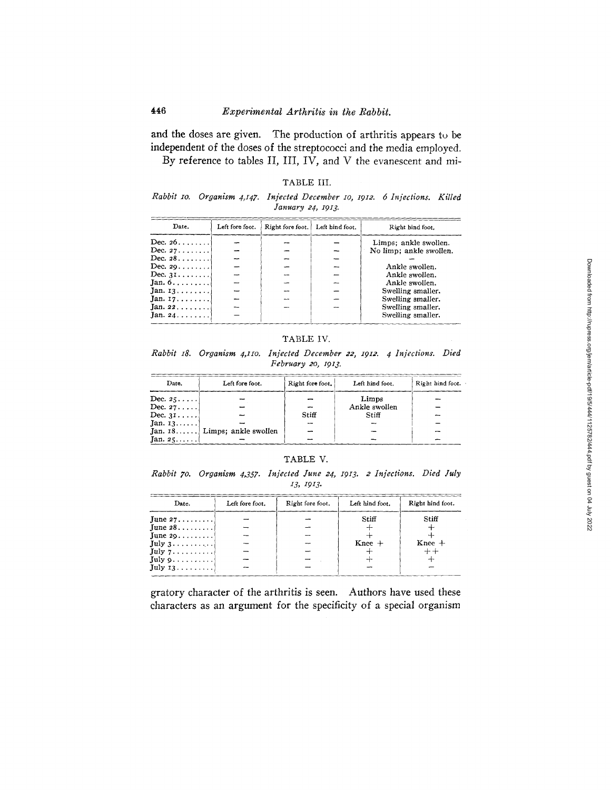and the doses are given. The production of arthritis appears to be independent of the doses of the streptococci and the media employed. By reference to tables II, III, IV, and V the evanescent and mi-

|  |  | 'ABLE | ш |
|--|--|-------|---|
|--|--|-------|---|

*Rabbit IO. Organism 4,147. Injected December lO, I912. 6 Injections. Killed January 24, x913.* 

| Date.                         | Left fore foot. | Right fore foot.   Left hind foot. | Right hind foot.                                 |
|-------------------------------|-----------------|------------------------------------|--------------------------------------------------|
| Dec. $26$<br>Dec. $27 \ldots$ |                 |                                    | Limps; ankle swollen.<br>No limp; ankle swollen. |
| Dec. $28 \ldots$              |                 |                                    |                                                  |
| Dec. $29$                     |                 |                                    | Ankle swollen.                                   |
| Dec. $31 \ldots \ldots$       |                 |                                    | Ankle swollen.                                   |
| Jan. $6 \ldots \ldots$        |                 | -                                  | Ankle swollen.                                   |
| Jan. $13$                     |                 |                                    | Swelling smaller.                                |
| Jan. $17$                     |                 |                                    | Swelling smaller.                                |
| Jan. $22$                     |                 |                                    | Swelling smaller.                                |
| Jan. 24                       |                 |                                    | Swelling smaller.                                |

# TABLE IV.

*Rabbit xS. Organism 4,1Io. Injected December 22, 1912. 4 Injections. Died February 2o, 1913.* 

| Date.            | Left fore foot. | Right fore foot, | Left hind foot. | Right hind foot. |
|------------------|-----------------|------------------|-----------------|------------------|
| Dec. $25$        |                 |                  | Limps           |                  |
| Dec. $27$        |                 |                  | Ankle swollen   |                  |
| Dec. $31 \ldots$ |                 | Stiff            | Stiff           |                  |
| $Jan. 13$        |                 |                  |                 |                  |
|                  |                 |                  |                 |                  |
| Jan. $25$        |                 |                  |                 |                  |

### TABLE V.

*Rabbit 70. Organism 4,357. Injected June 24, I913. 2 Injections. Died July 13, I9z3.* 

| Date.                   | Left fore foot. | Right fore foot. | Left hind foot. | Right hind foot. |
|-------------------------|-----------------|------------------|-----------------|------------------|
| June $27$               |                 |                  | Stiff           | Stiff            |
| $\lceil$ une 28         |                 |                  |                 |                  |
| June $29$               |                 |                  |                 |                  |
| July 3.                 |                 |                  | $Knee +$        | $Knee +$         |
| July 7                  |                 |                  |                 |                  |
| July $9 \ldots \ldots$  |                 |                  |                 |                  |
| July $13 \ldots \ldots$ |                 |                  |                 |                  |

gratory character of the arthritis is seen. Authors have used these characters as an argument for the specificity of a special organism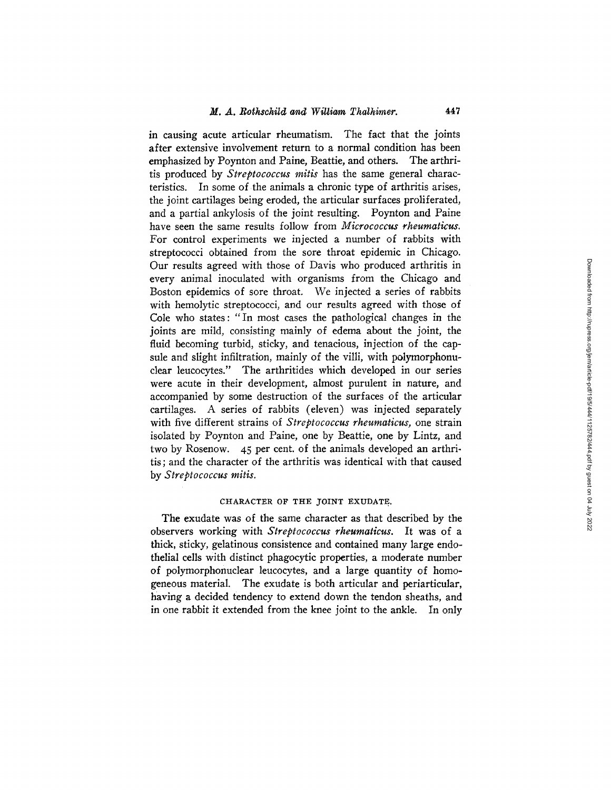in causing acute articular rheumatism. The fact that the joints after extensive involvement return to a normal condition has been emphasized by Poynton and Paine, Beattie, and others. The arthritis produced by *Streptococcus miffs* has the same general characteristics. In some of the animals a chronic type of arthritis arises, the joint cartilages being eroded, the articular surfaces proliferated, and a partial ankylosis of the joint resulting. Poynton and Paine have seen the same results follow from *Micrococcus rheumaticus.*  For control experiments we injected a number of rabbits with streptococci obtained from the sore throat epidemic in Chicago. Our results agreed with those of Davis who produced arthritis in every animal inoculated with organisms from the Chicago and Boston epidemics of sore throat. We injected a series of rabbits with hemolytic streptococci, and our results agreed with those of Cole who states: "In most cases the pathological changes in the joints are mild, consisting mainly of edema about the joint, the fluid becoming turbid, sticky, and tenacious, injection of the capsule and slight infiltration, mainly of the villi, with polymorphonuclear leucocytes." The arthritides which developed in our series were acute in their development, almost purulent in nature, and accompanied by some destruction of the surfaces of the articular cartilages. A series of rabbits (eleven) was injected separately with five different strains of *Streptococcus rheumaticus,* one strain isolated by Poynton and Paine, one by Beattie, one by Lintz, and two by Rosenow. 45 per cent. of the animals developed an arthritis; and the character of the arthritis was identical with that caused by *Streptococcus mitis.* 

# CHARACTER OF THE TOINT EXUDATE.

The exudate was of the same character as that described by the observers working with *Streptococcus rheumaticus.* It was of a thick, sticky, gelatinous consistence and contained many large endothelial cells with distinct phagocytic properties, a moderate number of polymorphonuclear leucocytes, and a large quantity of homogeneous material. The exudate is both articular and periarticular, having a decided tendency to extend down the tendon sheaths, and in one rabbit it extended from the knee joint to the ankle. In only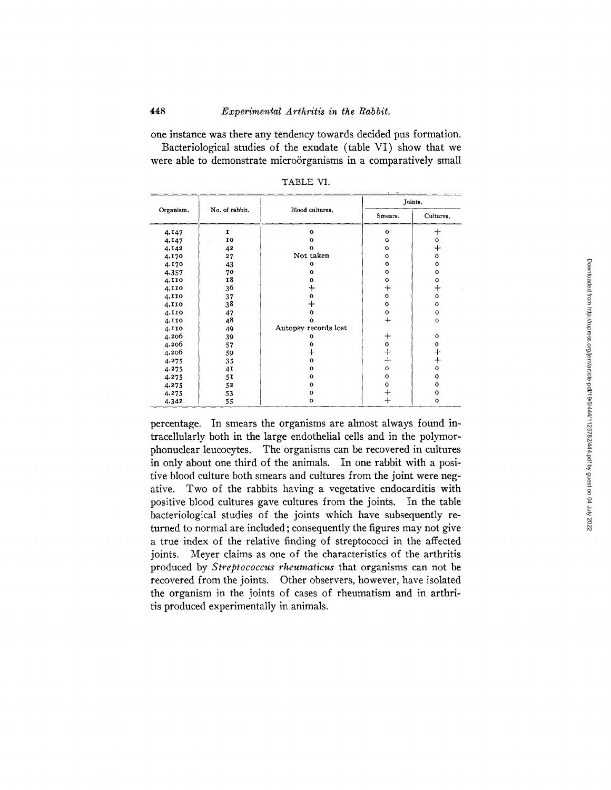one instance was there any tendency towards decided pus formation. Bacteriological studies of the exudate (table VI) show that we were able to demonstrate microörganisms in a comparatively small

|           |                |                      | Joints.      |                 |
|-----------|----------------|----------------------|--------------|-----------------|
| Organism. | No. of rabbit. | Blood cultures.      | Smears.      | Cultures.       |
| 4,147     | I              | $\mathbf{o}$         | o            | $^{+}$          |
| 4,147     | 10             | $\circ$              | o            | o               |
| 4,142     | 42             | $\mathbf{o}$         | $\Omega$     | $^{+}$          |
| 4.170     | 27             | Not taken            | $\circ$      | $\Omega$        |
| 4,170     | 43             | $\mathbf{o}$         | o            | $\mathbf{o}$    |
| 4,357     | 70             | $\mathbf{o}$         | $\circ$      | $\mathbf{o}$    |
| 4,110     | 18             | $\Omega$             | $\mathbf{o}$ | 0               |
| 4,110     | 36             | ┿                    | $\div$       | $^{+}$          |
| 4,110     | 37             | $\mathbf{o}$         | $\mathbf{o}$ | $\mathbf{o}$    |
| 4,110     | 38             | ┿                    | $\circ$      | $\mathbf{o}$    |
| 4,II0     | 47             | $\mathbf{o}$         | o            | $\mathbf{o}$    |
| 4,110     | 48             | $\Omega$             | $\div$       | $\mathbf{o}$    |
| 4,110     | 49             | Autopsy records lost |              |                 |
| 4,206     | 39             | 0                    | $\bm{+}$     | $\mathbf{o}$    |
| 4,206     | 57             | 0                    | o            | $\mathbf{o}$    |
| 4,206     | 59             | $\bm{+}$             | $\ddag$      | $^{\mathrm{+}}$ |
| 4,275     | 35             | $\mathbf{o}$         | $\ddot{+}$   | $\ddot{}$       |
| 4,275     | 41             | $\mathbf{o}$         | $\circ$      | $\mathbf{o}$    |
| 4.275     | 51             | $\mathbf{o}$         | $\mathbf{o}$ | $\mathbf{o}$    |
| 4,275     | 52             | $\mathbf{o}$         | $\bf o$      | $\mathbf{o}$    |
| 4,275     | 53             | $\mathbf{o}$         | $\ddag$      | o               |
| 4,342     | 55             | $\circ$              | $\ddot{}$    | $\circ$         |

TABLE VI.

percentage. In smears the organisms are almost always found intracellularly both in the large endothelial cells and in the polymorphonuclear leucocytes. The organisms can be recovered in cultures in only about one third of the animals. In one rabbit with a positive blood culture both smears and cultures from the joint were negative. Two of the rabbits having a vegetative endocarditis with positive blood cultures gave cultures from the joints. In the table bacteriological studies of the joints which have subsequently returned to normal are included ; consequently the figures may not give a true index of the relative finding of streptococci in the affected joints. Meyer claims as one of the characteristics of the arthritis produced by *Streptococcus rheumaticus* that organisms can not be recovered from the joints. Other observers, however, have isolated the organism in the joints of cases of rheumatism and in arthritis produced experimentally in animals.